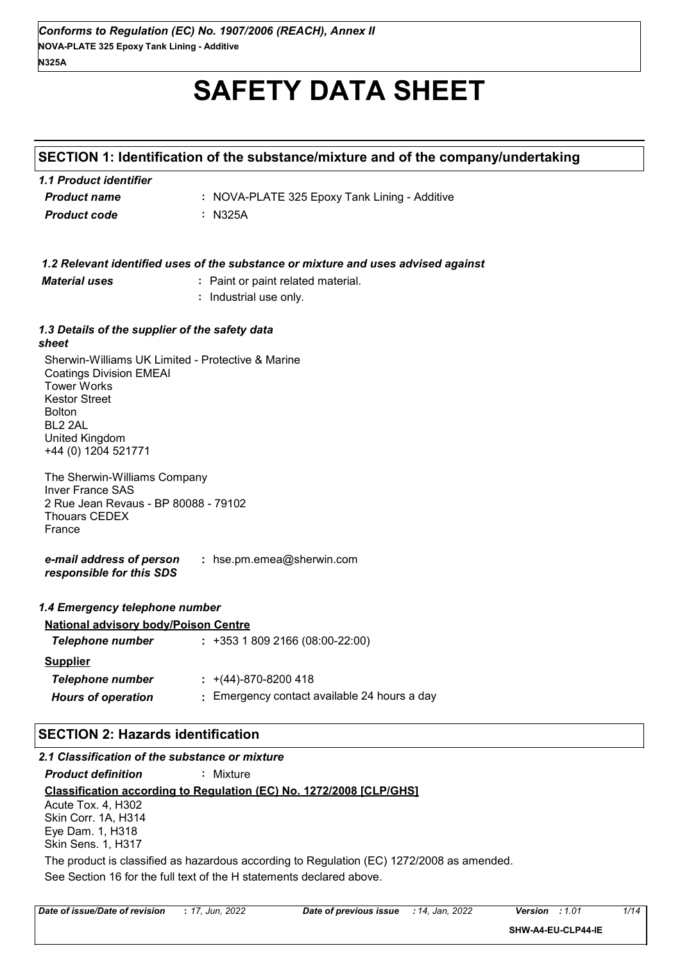# **SAFETY DATA SHEET**

# **SECTION 1: Identification of the substance/mixture and of the company/undertaking**

| 1.1 Product identifier |                                               |
|------------------------|-----------------------------------------------|
| <b>Product name</b>    | : NOVA-PLATE 325 Epoxy Tank Lining - Additive |
| <b>Product code</b>    | : N325A                                       |

|                                                                                                                                                                                                                    | 1.2 Relevant identified uses of the substance or mixture and uses advised against |
|--------------------------------------------------------------------------------------------------------------------------------------------------------------------------------------------------------------------|-----------------------------------------------------------------------------------|
| <b>Material uses</b>                                                                                                                                                                                               | : Paint or paint related material.                                                |
|                                                                                                                                                                                                                    | : Industrial use only.                                                            |
|                                                                                                                                                                                                                    |                                                                                   |
| 1.3 Details of the supplier of the safety data<br>sheet                                                                                                                                                            |                                                                                   |
| Sherwin-Williams UK Limited - Protective & Marine<br><b>Coatings Division EMEAI</b><br><b>Tower Works</b><br><b>Kestor Street</b><br><b>Bolton</b><br>BL <sub>2</sub> 2AL<br>United Kingdom<br>+44 (0) 1204 521771 |                                                                                   |
| The Sherwin-Williams Company<br><b>Inver France SAS</b><br>2 Rue Jean Revaus - BP 80088 - 79102<br><b>Thouars CEDEX</b><br>France                                                                                  |                                                                                   |
| e-mail address of person<br>responsible for this SDS                                                                                                                                                               | : hse.pm.emea@sherwin.com                                                         |
| 1.4 Emergency telephone number                                                                                                                                                                                     |                                                                                   |
| <b>National advisory body/Poison Centre</b>                                                                                                                                                                        |                                                                                   |
| <b>Telephone number</b>                                                                                                                                                                                            | $: +35318092166(08:00-22:00)$                                                     |
| <b>Supplier</b>                                                                                                                                                                                                    |                                                                                   |
| <b>Telephone number</b>                                                                                                                                                                                            | $\div$ +(44)-870-8200 418                                                         |
| <b>Hours of operation</b>                                                                                                                                                                                          | : Emergency contact available 24 hours a day                                      |
|                                                                                                                                                                                                                    |                                                                                   |
| <b>SECTION 2: Hazards identification</b>                                                                                                                                                                           |                                                                                   |
| 2.1 Classification of the substance or mixture                                                                                                                                                                     |                                                                                   |
| <b>Product definition</b>                                                                                                                                                                                          | : Mixture                                                                         |
|                                                                                                                                                                                                                    | Classification according to Regulation (EC) No. 1272/2008 [CLP/GHS]               |

Acute Tox. 4, H302 Skin Corr. 1A, H314 Eye Dam. 1, H318 Skin Sens. 1, H317

See Section 16 for the full text of the H statements declared above. The product is classified as hazardous according to Regulation (EC) 1272/2008 as amended.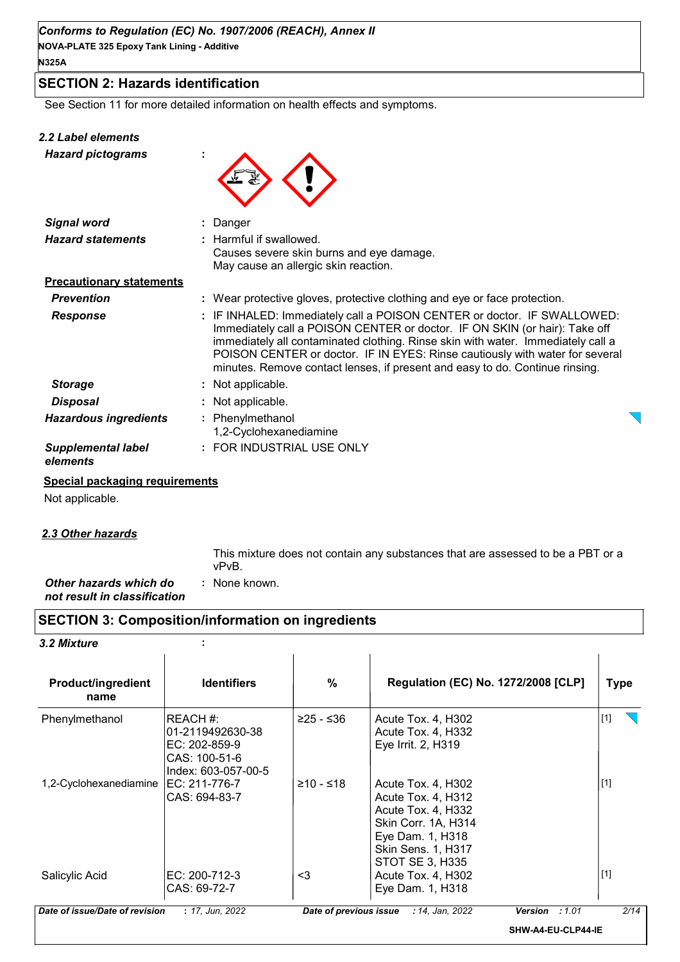## **SECTION 2: Hazards identification**

See Section 11 for more detailed information on health effects and symptoms.

#### *2.2 Label elements*

*Hazard pictograms* **:**



| <b>Signal word</b>                    | : Danger                                                                                                                                                                                                                                                                                                                                                                                                  |  |
|---------------------------------------|-----------------------------------------------------------------------------------------------------------------------------------------------------------------------------------------------------------------------------------------------------------------------------------------------------------------------------------------------------------------------------------------------------------|--|
| <b>Hazard statements</b>              | : Harmful if swallowed.<br>Causes severe skin burns and eye damage.<br>May cause an allergic skin reaction.                                                                                                                                                                                                                                                                                               |  |
| <b>Precautionary statements</b>       |                                                                                                                                                                                                                                                                                                                                                                                                           |  |
| <b>Prevention</b>                     | : Wear protective gloves, protective clothing and eye or face protection.                                                                                                                                                                                                                                                                                                                                 |  |
| <b>Response</b>                       | : IF INHALED: Immediately call a POISON CENTER or doctor. IF SWALLOWED:<br>Immediately call a POISON CENTER or doctor. IF ON SKIN (or hair): Take off<br>immediately all contaminated clothing. Rinse skin with water. Immediately call a<br>POISON CENTER or doctor. IF IN EYES: Rinse cautiously with water for several<br>minutes. Remove contact lenses, if present and easy to do. Continue rinsing. |  |
| <b>Storage</b>                        | : Not applicable.                                                                                                                                                                                                                                                                                                                                                                                         |  |
| <b>Disposal</b>                       | : Not applicable.                                                                                                                                                                                                                                                                                                                                                                                         |  |
| <b>Hazardous ingredients</b>          | : Phenylmethanol<br>1,2-Cyclohexanediamine                                                                                                                                                                                                                                                                                                                                                                |  |
| <b>Supplemental label</b><br>elements | : FOR INDUSTRIAL USE ONLY                                                                                                                                                                                                                                                                                                                                                                                 |  |

#### **Special packaging requirements**

Not applicable.

#### *2.3 Other hazards*

This mixture does not contain any substances that are assessed to be a PBT or a vPvB.

*Other hazards which do* **:** *not result in classification* : None known.

## **SECTION 3: Composition/information on ingredients**

*3.2 Mixture* **:**

| <b>Product/ingredient</b><br>name | <b>Identifiers</b>                                                                     | %                      | <b>Regulation (EC) No. 1272/2008 [CLP]</b>                                                                                                                |                    | Type  |
|-----------------------------------|----------------------------------------------------------------------------------------|------------------------|-----------------------------------------------------------------------------------------------------------------------------------------------------------|--------------------|-------|
| Phenylmethanol                    | IREACH #:<br>01-2119492630-38<br>EC: 202-859-9<br>CAS: 100-51-6<br>Index: 603-057-00-5 | ≥25 - ≤36              | Acute Tox. 4, H302<br>Acute Tox. 4, H332<br>Eye Irrit. 2, H319                                                                                            |                    | $[1]$ |
| 1,2-Cyclohexanediamine            | EC: 211-776-7<br>CAS: 694-83-7                                                         | $≥10 - ≤18$            | Acute Tox. 4, H302<br>Acute Tox. 4, H312<br>Acute Tox. 4, H332<br>Skin Corr. 1A, H314<br>Eye Dam. 1, H318<br><b>Skin Sens. 1, H317</b><br>STOT SE 3, H335 |                    | $[1]$ |
| Salicylic Acid                    | IEC: 200-712-3<br>CAS: 69-72-7                                                         | <3                     | Acute Tox. 4, H302<br>Eye Dam. 1, H318                                                                                                                    |                    | $[1]$ |
| Date of issue/Date of revision    | : 17, Jun, 2022                                                                        | Date of previous issue | : 14, Jan, 2022                                                                                                                                           | Version : 1.01     | 2/14  |
|                                   |                                                                                        |                        |                                                                                                                                                           | SHW-A4-EU-CLP44-IE |       |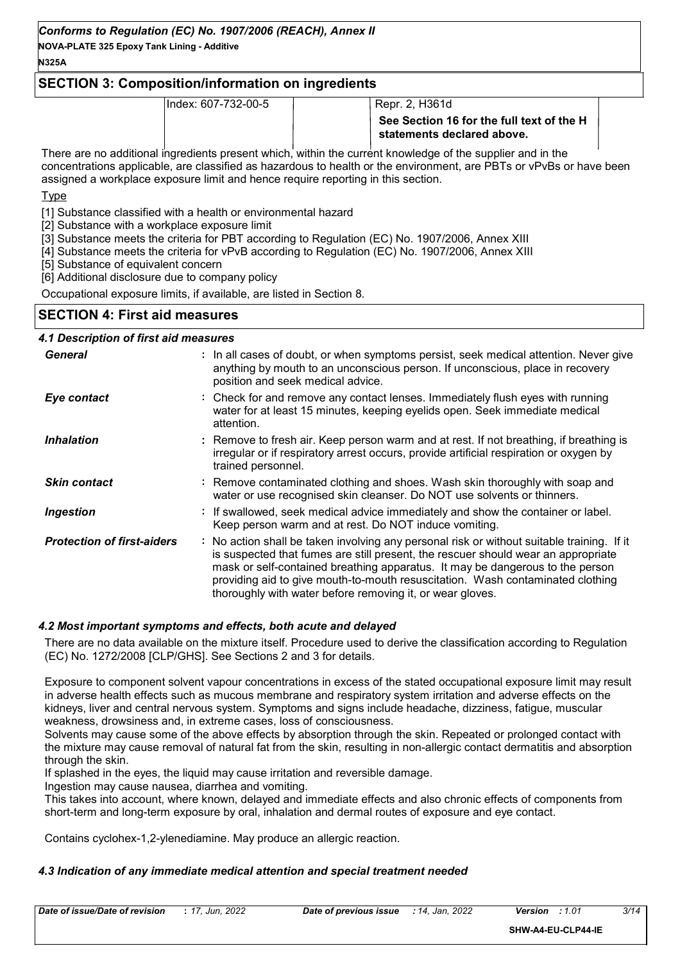#### **N325A**

## **SECTION 3: Composition/information on ingredients**

Index: 607-732-00-5 Repr. 2, H361d

There are no additional ingredients present which, within the current knowledge of the supplier and in the concentrations applicable, are classified as hazardous to health or the environment, are PBTs or vPvBs or have been assigned a workplace exposure limit and hence require reporting in this section.

**T**<sub>vpe</sub>

[1] Substance classified with a health or environmental hazard

[2] Substance with a workplace exposure limit

[3] Substance meets the criteria for PBT according to Regulation (EC) No. 1907/2006, Annex XIII

[4] Substance meets the criteria for vPvB according to Regulation (EC) No. 1907/2006, Annex XIII

[5] Substance of equivalent concern

[6] Additional disclosure due to company policy

Occupational exposure limits, if available, are listed in Section 8.

## **SECTION 4: First aid measures**

## *4.1 Description of first aid measures*

| <b>General</b>                    | : In all cases of doubt, or when symptoms persist, seek medical attention. Never give<br>anything by mouth to an unconscious person. If unconscious, place in recovery<br>position and seek medical advice.                                                                                                                                                                                                     |
|-----------------------------------|-----------------------------------------------------------------------------------------------------------------------------------------------------------------------------------------------------------------------------------------------------------------------------------------------------------------------------------------------------------------------------------------------------------------|
| Eye contact                       | : Check for and remove any contact lenses. Immediately flush eyes with running<br>water for at least 15 minutes, keeping eyelids open. Seek immediate medical<br>attention.                                                                                                                                                                                                                                     |
| <b>Inhalation</b>                 | : Remove to fresh air. Keep person warm and at rest. If not breathing, if breathing is<br>irregular or if respiratory arrest occurs, provide artificial respiration or oxygen by<br>trained personnel.                                                                                                                                                                                                          |
| <b>Skin contact</b>               | : Remove contaminated clothing and shoes. Wash skin thoroughly with soap and<br>water or use recognised skin cleanser. Do NOT use solvents or thinners.                                                                                                                                                                                                                                                         |
| <b>Ingestion</b>                  | : If swallowed, seek medical advice immediately and show the container or label.<br>Keep person warm and at rest. Do NOT induce vomiting.                                                                                                                                                                                                                                                                       |
| <b>Protection of first-aiders</b> | : No action shall be taken involving any personal risk or without suitable training. If it<br>is suspected that fumes are still present, the rescuer should wear an appropriate<br>mask or self-contained breathing apparatus. It may be dangerous to the person<br>providing aid to give mouth-to-mouth resuscitation. Wash contaminated clothing<br>thoroughly with water before removing it, or wear gloves. |

#### *4.2 Most important symptoms and effects, both acute and delayed*

There are no data available on the mixture itself. Procedure used to derive the classification according to Regulation (EC) No. 1272/2008 [CLP/GHS]. See Sections 2 and 3 for details.

Exposure to component solvent vapour concentrations in excess of the stated occupational exposure limit may result in adverse health effects such as mucous membrane and respiratory system irritation and adverse effects on the kidneys, liver and central nervous system. Symptoms and signs include headache, dizziness, fatigue, muscular weakness, drowsiness and, in extreme cases, loss of consciousness.

Solvents may cause some of the above effects by absorption through the skin. Repeated or prolonged contact with the mixture may cause removal of natural fat from the skin, resulting in non-allergic contact dermatitis and absorption through the skin.

If splashed in the eyes, the liquid may cause irritation and reversible damage.

Ingestion may cause nausea, diarrhea and vomiting.

This takes into account, where known, delayed and immediate effects and also chronic effects of components from short-term and long-term exposure by oral, inhalation and dermal routes of exposure and eye contact.

Contains cyclohex-1,2-ylenediamine. May produce an allergic reaction.

## *4.3 Indication of any immediate medical attention and special treatment needed*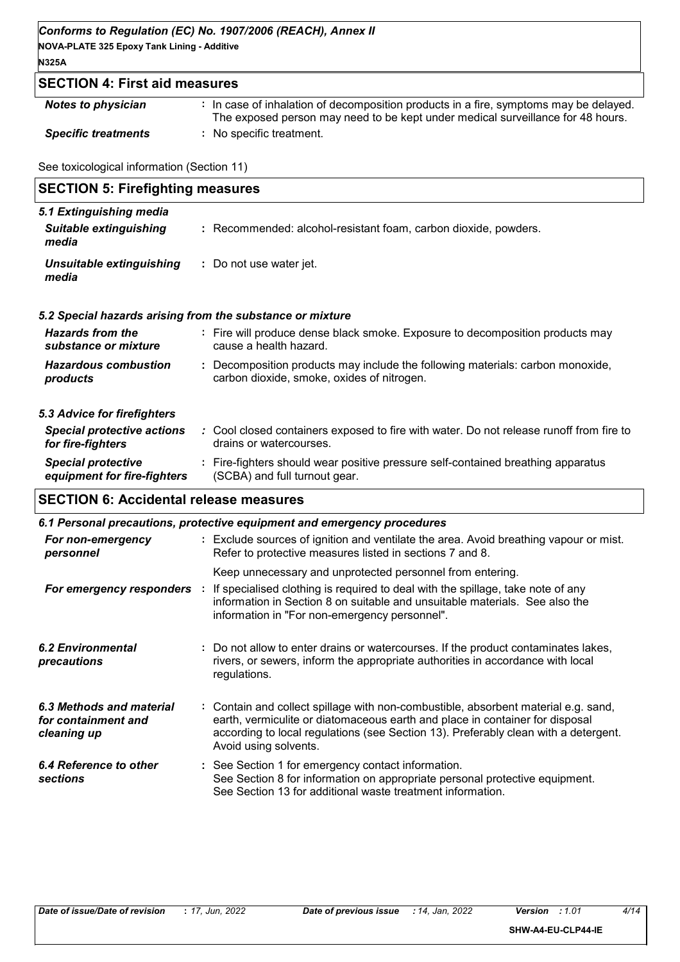## *Conforms to Regulation (EC) No. 1907/2006 (REACH), Annex II*

**NOVA-PLATE 325 Epoxy Tank Lining - Additive N325A**

## **SECTION 4: First aid measures**

| <b>Notes to physician</b>  | : In case of inhalation of decomposition products in a fire, symptoms may be delayed.<br>The exposed person may need to be kept under medical surveillance for 48 hours. |
|----------------------------|--------------------------------------------------------------------------------------------------------------------------------------------------------------------------|
| <b>Specific treatments</b> | : No specific treatment.                                                                                                                                                 |

See toxicological information (Section 11)

| <b>SECTION 5: Firefighting measures</b>         |                                                                                                         |  |  |  |
|-------------------------------------------------|---------------------------------------------------------------------------------------------------------|--|--|--|
| 5.1 Extinguishing media                         |                                                                                                         |  |  |  |
| <b>Suitable extinguishing</b><br>media          | : Recommended: alcohol-resistant foam, carbon dioxide, powders.                                         |  |  |  |
| <b>Unsuitable extinguishing</b><br>media        | : Do not use water jet.                                                                                 |  |  |  |
|                                                 | 5.2 Special hazards arising from the substance or mixture                                               |  |  |  |
| <b>Hazards from the</b><br>substance or mixture | : Fire will produce dense black smoke. Exposure to decomposition products may<br>cause a health hazard. |  |  |  |
| <b>Hazardous combustion</b>                     | : Decomposition products may include the following materials: carbon monoxide,                          |  |  |  |

#### *5.3 Advice for firefighters*

*products*

| <b>Special protective actions</b><br>for fire-fighters   | : Cool closed containers exposed to fire with water. Do not release runoff from fire to<br>drains or watercourses. |
|----------------------------------------------------------|--------------------------------------------------------------------------------------------------------------------|
| <b>Special protective</b><br>equipment for fire-fighters | : Fire-fighters should wear positive pressure self-contained breathing apparatus<br>(SCBA) and full turnout gear.  |

carbon dioxide, smoke, oxides of nitrogen.

## **SECTION 6: Accidental release measures**

| 6.1 Personal precautions, protective equipment and emergency procedures |  |                                                                                                                                                                                                                                                                                    |  |  |
|-------------------------------------------------------------------------|--|------------------------------------------------------------------------------------------------------------------------------------------------------------------------------------------------------------------------------------------------------------------------------------|--|--|
| For non-emergency<br>personnel                                          |  | : Exclude sources of ignition and ventilate the area. Avoid breathing vapour or mist.<br>Refer to protective measures listed in sections 7 and 8.                                                                                                                                  |  |  |
| For emergency responders :                                              |  | Keep unnecessary and unprotected personnel from entering.<br>If specialised clothing is required to deal with the spillage, take note of any<br>information in Section 8 on suitable and unsuitable materials. See also the<br>information in "For non-emergency personnel".       |  |  |
| <b>6.2 Environmental</b><br>precautions                                 |  | : Do not allow to enter drains or watercourses. If the product contaminates lakes,<br>rivers, or sewers, inform the appropriate authorities in accordance with local<br>regulations.                                                                                               |  |  |
| 6.3 Methods and material<br>for containment and<br>cleaning up          |  | : Contain and collect spillage with non-combustible, absorbent material e.g. sand,<br>earth, vermiculite or diatomaceous earth and place in container for disposal<br>according to local regulations (see Section 13). Preferably clean with a detergent.<br>Avoid using solvents. |  |  |
| 6.4 Reference to other<br>sections                                      |  | : See Section 1 for emergency contact information.<br>See Section 8 for information on appropriate personal protective equipment.<br>See Section 13 for additional waste treatment information.                                                                                    |  |  |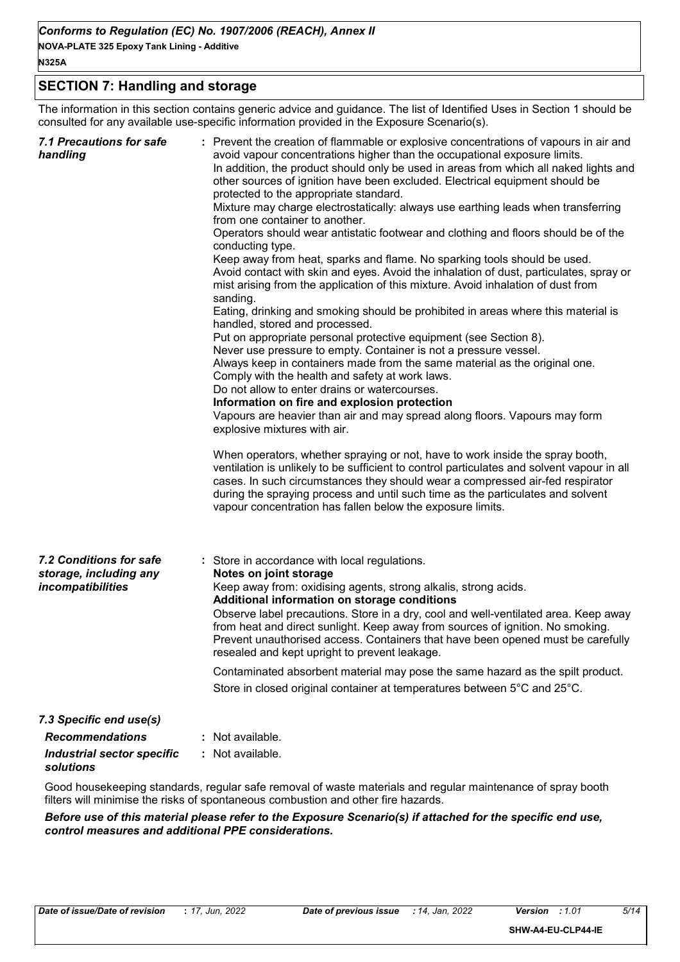#### **N325A**

## **SECTION 7: Handling and storage**

The information in this section contains generic advice and guidance. The list of Identified Uses in Section 1 should be consulted for any available use-specific information provided in the Exposure Scenario(s).

| <b>7.1 Precautions for safe</b><br>handling                            | : Prevent the creation of flammable or explosive concentrations of vapours in air and<br>avoid vapour concentrations higher than the occupational exposure limits.<br>In addition, the product should only be used in areas from which all naked lights and<br>other sources of ignition have been excluded. Electrical equipment should be<br>protected to the appropriate standard.<br>Mixture may charge electrostatically: always use earthing leads when transferring<br>from one container to another.<br>Operators should wear antistatic footwear and clothing and floors should be of the<br>conducting type.<br>Keep away from heat, sparks and flame. No sparking tools should be used.<br>Avoid contact with skin and eyes. Avoid the inhalation of dust, particulates, spray or<br>mist arising from the application of this mixture. Avoid inhalation of dust from<br>sanding.<br>Eating, drinking and smoking should be prohibited in areas where this material is<br>handled, stored and processed.<br>Put on appropriate personal protective equipment (see Section 8).<br>Never use pressure to empty. Container is not a pressure vessel.<br>Always keep in containers made from the same material as the original one.<br>Comply with the health and safety at work laws.<br>Do not allow to enter drains or watercourses.<br>Information on fire and explosion protection<br>Vapours are heavier than air and may spread along floors. Vapours may form<br>explosive mixtures with air.<br>When operators, whether spraying or not, have to work inside the spray booth,<br>ventilation is unlikely to be sufficient to control particulates and solvent vapour in all<br>cases. In such circumstances they should wear a compressed air-fed respirator<br>during the spraying process and until such time as the particulates and solvent<br>vapour concentration has fallen below the exposure limits. |
|------------------------------------------------------------------------|-------------------------------------------------------------------------------------------------------------------------------------------------------------------------------------------------------------------------------------------------------------------------------------------------------------------------------------------------------------------------------------------------------------------------------------------------------------------------------------------------------------------------------------------------------------------------------------------------------------------------------------------------------------------------------------------------------------------------------------------------------------------------------------------------------------------------------------------------------------------------------------------------------------------------------------------------------------------------------------------------------------------------------------------------------------------------------------------------------------------------------------------------------------------------------------------------------------------------------------------------------------------------------------------------------------------------------------------------------------------------------------------------------------------------------------------------------------------------------------------------------------------------------------------------------------------------------------------------------------------------------------------------------------------------------------------------------------------------------------------------------------------------------------------------------------------------------------------------------------------------------------------------------------------------------|
| 7.2 Conditions for safe<br>storage, including any<br>incompatibilities | : Store in accordance with local regulations.<br>Notes on joint storage<br>Keep away from: oxidising agents, strong alkalis, strong acids.<br>Additional information on storage conditions<br>Observe label precautions. Store in a dry, cool and well-ventilated area. Keep away<br>from heat and direct sunlight. Keep away from sources of ignition. No smoking.<br>Prevent unauthorised access. Containers that have been opened must be carefully<br>resealed and kept upright to prevent leakage.                                                                                                                                                                                                                                                                                                                                                                                                                                                                                                                                                                                                                                                                                                                                                                                                                                                                                                                                                                                                                                                                                                                                                                                                                                                                                                                                                                                                                       |
|                                                                        | Contaminated absorbent material may pose the same hazard as the spilt product.<br>Store in closed original container at temperatures between 5°C and 25°C.                                                                                                                                                                                                                                                                                                                                                                                                                                                                                                                                                                                                                                                                                                                                                                                                                                                                                                                                                                                                                                                                                                                                                                                                                                                                                                                                                                                                                                                                                                                                                                                                                                                                                                                                                                    |
| 7.3 Specific end use(s)                                                |                                                                                                                                                                                                                                                                                                                                                                                                                                                                                                                                                                                                                                                                                                                                                                                                                                                                                                                                                                                                                                                                                                                                                                                                                                                                                                                                                                                                                                                                                                                                                                                                                                                                                                                                                                                                                                                                                                                               |
| <b>Recommendations</b>                                                 | : Not available.                                                                                                                                                                                                                                                                                                                                                                                                                                                                                                                                                                                                                                                                                                                                                                                                                                                                                                                                                                                                                                                                                                                                                                                                                                                                                                                                                                                                                                                                                                                                                                                                                                                                                                                                                                                                                                                                                                              |
| <b>Industrial sector specific</b><br>solutions                         | : Not available.                                                                                                                                                                                                                                                                                                                                                                                                                                                                                                                                                                                                                                                                                                                                                                                                                                                                                                                                                                                                                                                                                                                                                                                                                                                                                                                                                                                                                                                                                                                                                                                                                                                                                                                                                                                                                                                                                                              |

Good housekeeping standards, regular safe removal of waste materials and regular maintenance of spray booth filters will minimise the risks of spontaneous combustion and other fire hazards.

*Before use of this material please refer to the Exposure Scenario(s) if attached for the specific end use, control measures and additional PPE considerations.*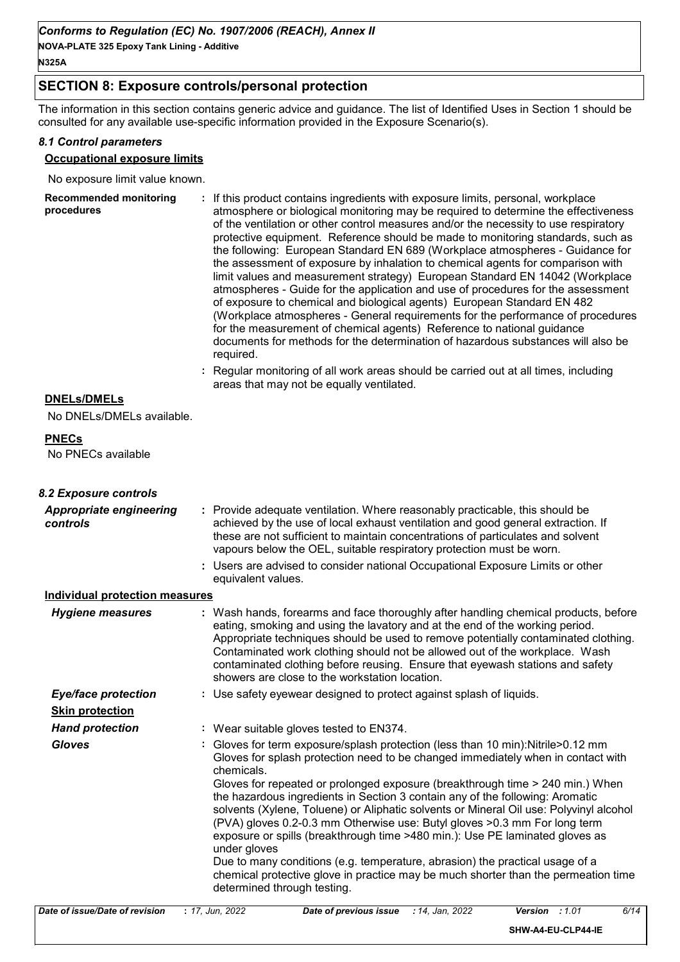## **SECTION 8: Exposure controls/personal protection**

The information in this section contains generic advice and guidance. The list of Identified Uses in Section 1 should be consulted for any available use-specific information provided in the Exposure Scenario(s).

#### *8.1 Control parameters*

## **Occupational exposure limits**

No exposure limit value known.

| <b>Recommended monitoring</b><br>procedures | : If this product contains ingredients with exposure limits, personal, workplace<br>atmosphere or biological monitoring may be required to determine the effectiveness<br>of the ventilation or other control measures and/or the necessity to use respiratory<br>protective equipment. Reference should be made to monitoring standards, such as<br>the following: European Standard EN 689 (Workplace atmospheres - Guidance for<br>the assessment of exposure by inhalation to chemical agents for comparison with<br>limit values and measurement strategy) European Standard EN 14042 (Workplace<br>atmospheres - Guide for the application and use of procedures for the assessment<br>of exposure to chemical and biological agents) European Standard EN 482<br>(Workplace atmospheres - General requirements for the performance of procedures<br>for the measurement of chemical agents) Reference to national guidance<br>documents for methods for the determination of hazardous substances will also be<br>required. |
|---------------------------------------------|------------------------------------------------------------------------------------------------------------------------------------------------------------------------------------------------------------------------------------------------------------------------------------------------------------------------------------------------------------------------------------------------------------------------------------------------------------------------------------------------------------------------------------------------------------------------------------------------------------------------------------------------------------------------------------------------------------------------------------------------------------------------------------------------------------------------------------------------------------------------------------------------------------------------------------------------------------------------------------------------------------------------------------|
|---------------------------------------------|------------------------------------------------------------------------------------------------------------------------------------------------------------------------------------------------------------------------------------------------------------------------------------------------------------------------------------------------------------------------------------------------------------------------------------------------------------------------------------------------------------------------------------------------------------------------------------------------------------------------------------------------------------------------------------------------------------------------------------------------------------------------------------------------------------------------------------------------------------------------------------------------------------------------------------------------------------------------------------------------------------------------------------|

**:** Regular monitoring of all work areas should be carried out at all times, including areas that may not be equally ventilated.

#### **DNELs/DMELs**

No DNELs/DMELs available.

#### **PNECs**

No PNECs available

| 8.2 Exposure controls                      |                                                                                                                                                                                                                                                                                                                                                                                                                                                                                                                                                                                                                                                                                                                                                                                                                                 |
|--------------------------------------------|---------------------------------------------------------------------------------------------------------------------------------------------------------------------------------------------------------------------------------------------------------------------------------------------------------------------------------------------------------------------------------------------------------------------------------------------------------------------------------------------------------------------------------------------------------------------------------------------------------------------------------------------------------------------------------------------------------------------------------------------------------------------------------------------------------------------------------|
| <b>Appropriate engineering</b><br>controls | : Provide adequate ventilation. Where reasonably practicable, this should be<br>achieved by the use of local exhaust ventilation and good general extraction. If<br>these are not sufficient to maintain concentrations of particulates and solvent<br>vapours below the OEL, suitable respiratory protection must be worn.                                                                                                                                                                                                                                                                                                                                                                                                                                                                                                     |
|                                            | : Users are advised to consider national Occupational Exposure Limits or other<br>equivalent values.                                                                                                                                                                                                                                                                                                                                                                                                                                                                                                                                                                                                                                                                                                                            |
| Individual protection measures             |                                                                                                                                                                                                                                                                                                                                                                                                                                                                                                                                                                                                                                                                                                                                                                                                                                 |
| <b>Hygiene measures</b>                    | : Wash hands, forearms and face thoroughly after handling chemical products, before<br>eating, smoking and using the lavatory and at the end of the working period.<br>Appropriate techniques should be used to remove potentially contaminated clothing.<br>Contaminated work clothing should not be allowed out of the workplace. Wash<br>contaminated clothing before reusing. Ensure that eyewash stations and safety<br>showers are close to the workstation location.                                                                                                                                                                                                                                                                                                                                                     |
| <b>Eye/face protection</b>                 | : Use safety eyewear designed to protect against splash of liquids.                                                                                                                                                                                                                                                                                                                                                                                                                                                                                                                                                                                                                                                                                                                                                             |
| <b>Skin protection</b>                     |                                                                                                                                                                                                                                                                                                                                                                                                                                                                                                                                                                                                                                                                                                                                                                                                                                 |
| <b>Hand protection</b>                     | : Wear suitable gloves tested to EN374.                                                                                                                                                                                                                                                                                                                                                                                                                                                                                                                                                                                                                                                                                                                                                                                         |
| <b>Gloves</b>                              | : Gloves for term exposure/splash protection (less than 10 min):Nitrile>0.12 mm<br>Gloves for splash protection need to be changed immediately when in contact with<br>chemicals.<br>Gloves for repeated or prolonged exposure (breakthrough time > 240 min.) When<br>the hazardous ingredients in Section 3 contain any of the following: Aromatic<br>solvents (Xylene, Toluene) or Aliphatic solvents or Mineral Oil use: Polyvinyl alcohol<br>(PVA) gloves 0.2-0.3 mm Otherwise use: Butyl gloves >0.3 mm For long term<br>exposure or spills (breakthrough time >480 min.): Use PE laminated gloves as<br>under gloves<br>Due to many conditions (e.g. temperature, abrasion) the practical usage of a<br>chemical protective glove in practice may be much shorter than the permeation time<br>determined through testing. |
| Date of issue/Date of revision             | $.47 \; \mu m \; 2022$<br>6/11<br>Data of provious issue $-14$ lan 2022<br>$V$ greign $\cdot$ 1.01                                                                                                                                                                                                                                                                                                                                                                                                                                                                                                                                                                                                                                                                                                                              |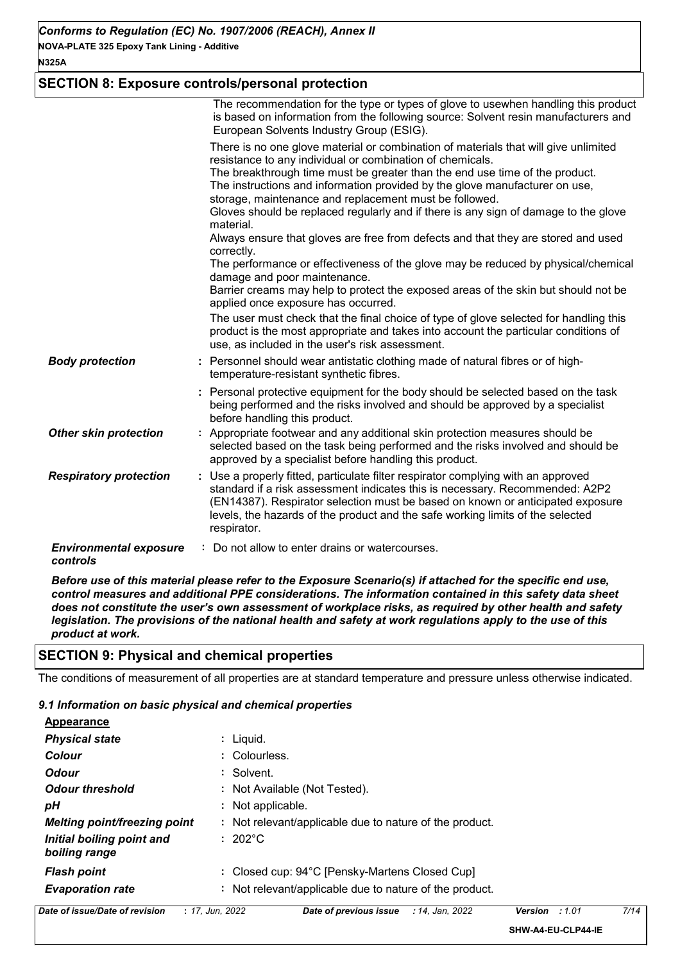## **SECTION 8: Exposure controls/personal protection**

|                                           | The recommendation for the type or types of glove to usewhen handling this product<br>is based on information from the following source: Solvent resin manufacturers and<br>European Solvents Industry Group (ESIG).                                                                                                                                                                                                                                                                                                                                                                                                                                                                                                                                                                                                              |
|-------------------------------------------|-----------------------------------------------------------------------------------------------------------------------------------------------------------------------------------------------------------------------------------------------------------------------------------------------------------------------------------------------------------------------------------------------------------------------------------------------------------------------------------------------------------------------------------------------------------------------------------------------------------------------------------------------------------------------------------------------------------------------------------------------------------------------------------------------------------------------------------|
|                                           | There is no one glove material or combination of materials that will give unlimited<br>resistance to any individual or combination of chemicals.<br>The breakthrough time must be greater than the end use time of the product.<br>The instructions and information provided by the glove manufacturer on use,<br>storage, maintenance and replacement must be followed.<br>Gloves should be replaced regularly and if there is any sign of damage to the glove<br>material.<br>Always ensure that gloves are free from defects and that they are stored and used<br>correctly.<br>The performance or effectiveness of the glove may be reduced by physical/chemical<br>damage and poor maintenance.<br>Barrier creams may help to protect the exposed areas of the skin but should not be<br>applied once exposure has occurred. |
|                                           | The user must check that the final choice of type of glove selected for handling this<br>product is the most appropriate and takes into account the particular conditions of<br>use, as included in the user's risk assessment.                                                                                                                                                                                                                                                                                                                                                                                                                                                                                                                                                                                                   |
| <b>Body protection</b>                    | : Personnel should wear antistatic clothing made of natural fibres or of high-<br>temperature-resistant synthetic fibres.                                                                                                                                                                                                                                                                                                                                                                                                                                                                                                                                                                                                                                                                                                         |
|                                           | : Personal protective equipment for the body should be selected based on the task<br>being performed and the risks involved and should be approved by a specialist<br>before handling this product.                                                                                                                                                                                                                                                                                                                                                                                                                                                                                                                                                                                                                               |
| <b>Other skin protection</b>              | : Appropriate footwear and any additional skin protection measures should be<br>selected based on the task being performed and the risks involved and should be<br>approved by a specialist before handling this product.                                                                                                                                                                                                                                                                                                                                                                                                                                                                                                                                                                                                         |
| <b>Respiratory protection</b>             | : Use a properly fitted, particulate filter respirator complying with an approved<br>standard if a risk assessment indicates this is necessary. Recommended: A2P2<br>(EN14387). Respirator selection must be based on known or anticipated exposure<br>levels, the hazards of the product and the safe working limits of the selected<br>respirator.                                                                                                                                                                                                                                                                                                                                                                                                                                                                              |
| <b>Environmental exposure</b><br>controls | : Do not allow to enter drains or watercourses.                                                                                                                                                                                                                                                                                                                                                                                                                                                                                                                                                                                                                                                                                                                                                                                   |

*Before use of this material please refer to the Exposure Scenario(s) if attached for the specific end use, control measures and additional PPE considerations. The information contained in this safety data sheet does not constitute the user's own assessment of workplace risks, as required by other health and safety legislation. The provisions of the national health and safety at work regulations apply to the use of this product at work.*

#### **SECTION 9: Physical and chemical properties**

The conditions of measurement of all properties are at standard temperature and pressure unless otherwise indicated.

#### *9.1 Information on basic physical and chemical properties*

| Αννσαι αποσ                                |                                                         |
|--------------------------------------------|---------------------------------------------------------|
| <b>Physical state</b>                      | $:$ Liquid.                                             |
| Colour                                     | : Colourless.                                           |
| <b>Odour</b>                               | : Solvent.                                              |
| <b>Odour threshold</b>                     | : Not Available (Not Tested).                           |
| pН                                         | : Not applicable.                                       |
| <b>Melting point/freezing point</b>        | : Not relevant/applicable due to nature of the product. |
| Initial boiling point and<br>boiling range | $: 202^{\circ}$ C                                       |
| <b>Flash point</b>                         | : Closed cup: 94°C [Pensky-Martens Closed Cup]          |
| <b>Evaporation rate</b>                    | : Not relevant/applicable due to nature of the product. |
|                                            |                                                         |

**Appearance**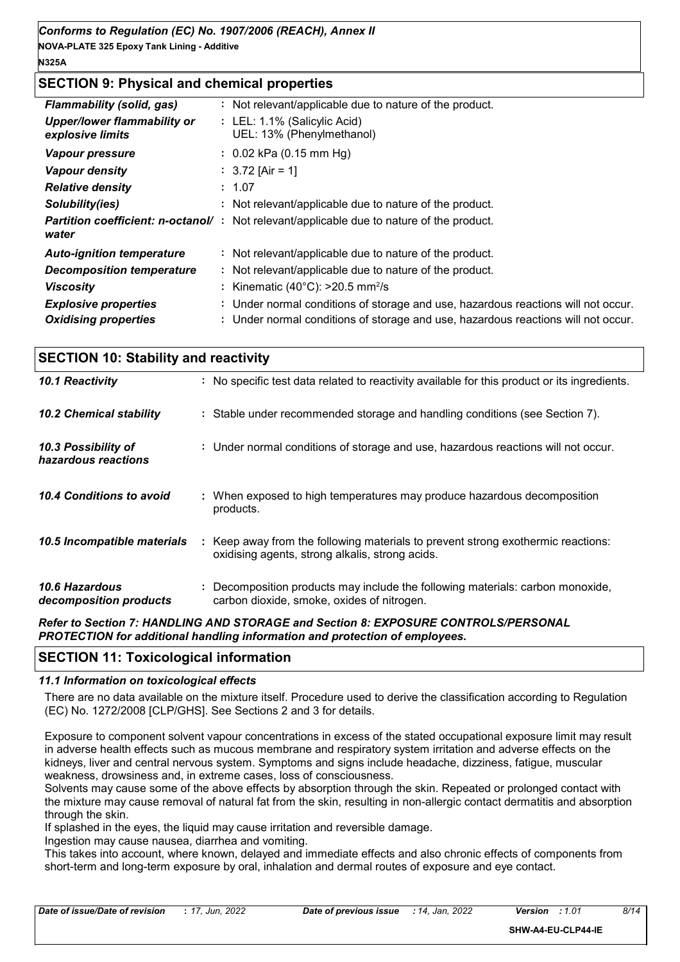## **SECTION 9: Physical and chemical properties**

| <b>Flammability (solid, gas)</b>                | : Not relevant/applicable due to nature of the product.                                          |
|-------------------------------------------------|--------------------------------------------------------------------------------------------------|
| Upper/lower flammability or<br>explosive limits | : LEL: 1.1% (Salicylic Acid)<br>UEL: 13% (Phenylmethanol)                                        |
| <b>Vapour pressure</b>                          | $: 0.02$ kPa (0.15 mm Hg)                                                                        |
| <b>Vapour density</b>                           | : $3.72$ [Air = 1]                                                                               |
| <b>Relative density</b>                         | : 1.07                                                                                           |
| Solubility(ies)                                 | : Not relevant/applicable due to nature of the product.                                          |
| water                                           | <b>Partition coefficient: n-octanol/</b> : Not relevant/applicable due to nature of the product. |
| <b>Auto-ignition temperature</b>                | : Not relevant/applicable due to nature of the product.                                          |
| <b>Decomposition temperature</b>                | : Not relevant/applicable due to nature of the product.                                          |
| <b>Viscosity</b>                                | : Kinematic (40 $^{\circ}$ C): >20.5 mm <sup>2</sup> /s                                          |
| <b>Explosive properties</b>                     | : Under normal conditions of storage and use, hazardous reactions will not occur.                |
| <b>Oxidising properties</b>                     | : Under normal conditions of storage and use, hazardous reactions will not occur.                |

| <b>SECTION 10: Stability and reactivity</b> |                                                                                                                                     |  |  |  |
|---------------------------------------------|-------------------------------------------------------------------------------------------------------------------------------------|--|--|--|
| 10.1 Reactivity                             | : No specific test data related to reactivity available for this product or its ingredients.                                        |  |  |  |
| <b>10.2 Chemical stability</b>              | : Stable under recommended storage and handling conditions (see Section 7).                                                         |  |  |  |
| 10.3 Possibility of<br>hazardous reactions  | : Under normal conditions of storage and use, hazardous reactions will not occur.                                                   |  |  |  |
| 10.4 Conditions to avoid                    | : When exposed to high temperatures may produce hazardous decomposition<br>products.                                                |  |  |  |
| 10.5 Incompatible materials                 | : Keep away from the following materials to prevent strong exothermic reactions:<br>oxidising agents, strong alkalis, strong acids. |  |  |  |
| 10.6 Hazardous<br>decomposition products    | : Decomposition products may include the following materials: carbon monoxide,<br>carbon dioxide, smoke, oxides of nitrogen.        |  |  |  |
|                                             | <b>Defer to Continu 7: UANDI INC AND CTODACE and Continue O. EVROCURE CONTROL CIREDCONAL</b>                                        |  |  |  |

*Refer to Section 7: HANDLING AND STORAGE and Section 8: EXPOSURE CONTROLS/PERS( PROTECTION for additional handling information and protection of employees.*

## **SECTION 11: Toxicological information**

#### *11.1 Information on toxicological effects*

There are no data available on the mixture itself. Procedure used to derive the classification according to Regulation (EC) No. 1272/2008 [CLP/GHS]. See Sections 2 and 3 for details.

Exposure to component solvent vapour concentrations in excess of the stated occupational exposure limit may result in adverse health effects such as mucous membrane and respiratory system irritation and adverse effects on the kidneys, liver and central nervous system. Symptoms and signs include headache, dizziness, fatigue, muscular weakness, drowsiness and, in extreme cases, loss of consciousness.

Solvents may cause some of the above effects by absorption through the skin. Repeated or prolonged contact with the mixture may cause removal of natural fat from the skin, resulting in non-allergic contact dermatitis and absorption through the skin.

If splashed in the eyes, the liquid may cause irritation and reversible damage.

Ingestion may cause nausea, diarrhea and vomiting.

This takes into account, where known, delayed and immediate effects and also chronic effects of components from short-term and long-term exposure by oral, inhalation and dermal routes of exposure and eye contact.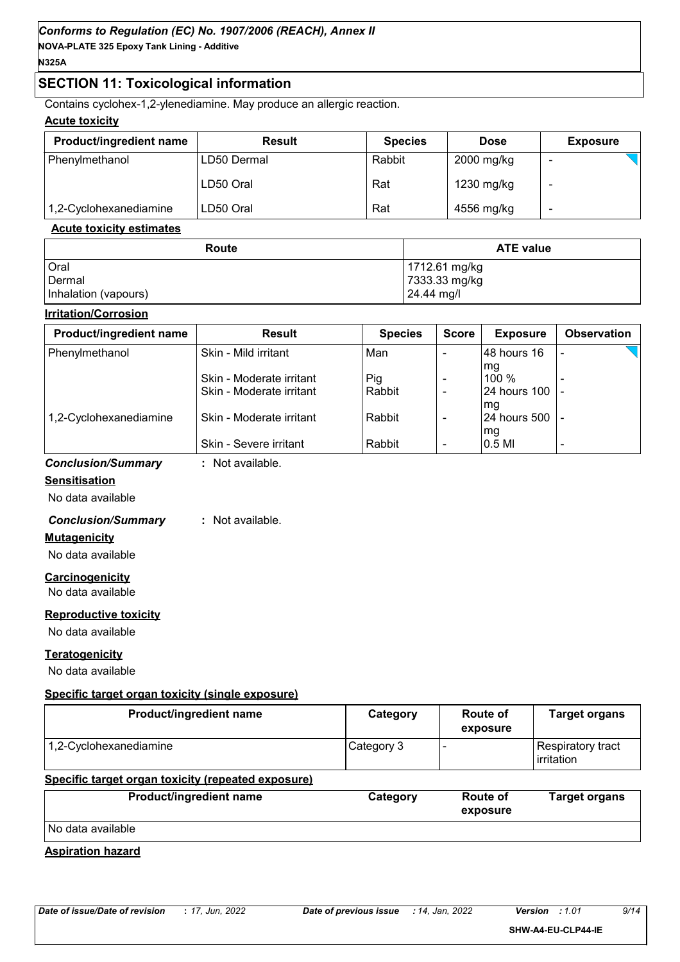## **SECTION 11: Toxicological information**

Contains cyclohex-1,2-ylenediamine. May produce an allergic reaction.

#### **Acute toxicity**

| <b>Product/ingredient name</b> | <b>Result</b> | <b>Species</b> | <b>Dose</b> | <b>Exposure</b> |
|--------------------------------|---------------|----------------|-------------|-----------------|
| Phenylmethanol                 | LD50 Dermal   | Rabbit         | 2000 mg/kg  |                 |
|                                | LD50 Oral     | Rat            | 1230 mg/kg  |                 |
| 1,2-Cyclohexanediamine         | LD50 Oral     | Rat            | 4556 mg/kg  |                 |

#### **Acute toxicity estimates**

| Route                | <b>ATE value</b> |
|----------------------|------------------|
| Oral                 | 1712.61 mg/kg    |
| Dermal               | 7333.33 mg/kg    |
| Inhalation (vapours) | 24.44 mg/l       |

#### **Irritation/Corrosion**

| <b>Product/ingredient name</b> | <b>Result</b>            | <b>Species</b> | <b>Score</b>             | <b>Exposure</b>         | <b>Observation</b> |
|--------------------------------|--------------------------|----------------|--------------------------|-------------------------|--------------------|
| Phenylmethanol                 | Skin - Mild irritant     | Man            |                          | l48 hours 16            |                    |
|                                | Skin - Moderate irritant | Pig            | $\overline{\phantom{0}}$ | mg<br>$100 \%$          |                    |
|                                | Skin - Moderate irritant | Rabbit         |                          | 24 hours 100   -        |                    |
| 1,2-Cyclohexanediamine         | Skin - Moderate irritant | Rabbit         | $\overline{\phantom{0}}$ | Img<br>24 hours 500   - |                    |
|                                | Skin - Severe irritant   | Rabbit         | $\blacksquare$           | lmg<br>$0.5$ MI         |                    |
| <b>Conclusion/Summary</b>      | Not available.           |                |                          |                         |                    |

#### **Sensitisation**

No data available

#### *Conclusion/Summary* **:** Not available.

**Mutagenicity**

No data available

**Carcinogenicity**

No data available

#### **Reproductive toxicity**

No data available

#### **Teratogenicity**

No data available

#### **Specific target organ toxicity (single exposure)**

| Category   | Route of<br>exposure | <b>Target organs</b>            |
|------------|----------------------|---------------------------------|
| Category 3 |                      | Respiratory tract<br>irritation |
|            |                      |                                 |
| Category   | Route of<br>exposure | <b>Target organs</b>            |
|            |                      |                                 |

## **Aspiration hazard**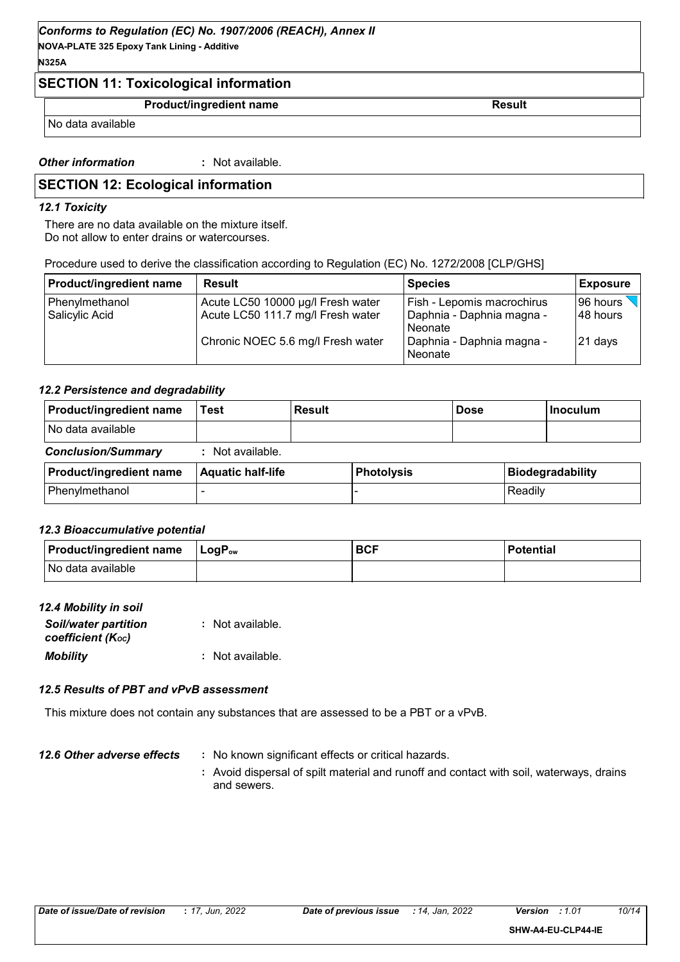## *Conforms to Regulation (EC) No. 1907/2006 (REACH), Annex II*

**NOVA-PLATE 325 Epoxy Tank Lining - Additive N325A**

## **SECTION 11: Toxicological information**

#### **Product/ingredient name** Result

No data available

*Other information* **:** : Not available.

## **SECTION 12: Ecological information**

#### *12.1 Toxicity*

There are no data available on the mixture itself. Do not allow to enter drains or watercourses.

| Procedure used to derive the classification according to Regulation (EC) No. 1272/2008 [CLP/GHS] |  |
|--------------------------------------------------------------------------------------------------|--|
|                                                                                                  |  |

| <b>Product/ingredient name</b>   | <b>Result</b>                                                          | <b>Species</b>                                                              | <b>Exposure</b>       |
|----------------------------------|------------------------------------------------------------------------|-----------------------------------------------------------------------------|-----------------------|
| Phenylmethanol<br>Salicylic Acid | Acute LC50 10000 µg/l Fresh water<br>Acute LC50 111.7 mg/l Fresh water | <b>Fish - Lepomis macrochirus</b><br>  Daphnia - Daphnia magna -<br>Neonate | 96 hours<br>148 hours |
|                                  | Chronic NOEC 5.6 mg/l Fresh water                                      | Daphnia - Daphnia magna -<br>Neonate                                        | 21 days               |

#### *12.2 Persistence and degradability*

| Product/ingredient name   | Test                     | <b>Result</b> |                   | <b>Dose</b> |         | <b>Inoculum</b>         |
|---------------------------|--------------------------|---------------|-------------------|-------------|---------|-------------------------|
| No data available         |                          |               |                   |             |         |                         |
| <b>Conclusion/Summary</b> | : Not available.         |               |                   |             |         |                         |
| Product/ingredient name   | <b>Aquatic half-life</b> |               | <b>Photolysis</b> |             |         | <b>Biodegradability</b> |
| Phenylmethanol            |                          |               |                   |             | Readily |                         |

#### *12.3 Bioaccumulative potential*

| <b>Product/ingredient name</b> | $\mathsf{L}\mathsf{o}\mathsf{q}\mathsf{P}_\mathsf{ow}$ | <b>BCF</b> | <b>Potential</b> |
|--------------------------------|--------------------------------------------------------|------------|------------------|
| No data available              |                                                        |            |                  |

#### *12.4 Mobility in soil*

| <b>Soil/water partition</b><br>coefficient (Koc) | : Not available. |
|--------------------------------------------------|------------------|
| <b>Mobility</b>                                  | : Not available. |

#### *12.5 Results of PBT and vPvB assessment*

This mixture does not contain any substances that are assessed to be a PBT or a vPvB.

#### *12.6 Other adverse effects* : No known significant effects or critical hazards.

**:** Avoid dispersal of spilt material and runoff and contact with soil, waterways, drains and sewers.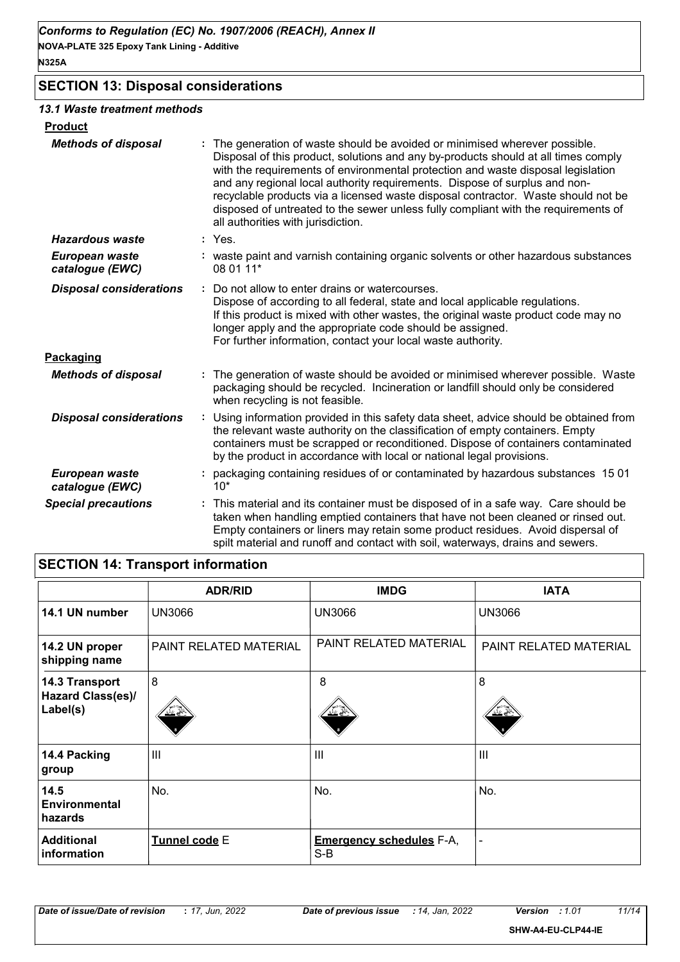## **SECTION 13: Disposal considerations**

#### *13.1 Waste treatment methods*

| <b>Product</b>                    |                                                                                                                                                                                                                                                                                                                                                                                                                                                                                                                                                    |
|-----------------------------------|----------------------------------------------------------------------------------------------------------------------------------------------------------------------------------------------------------------------------------------------------------------------------------------------------------------------------------------------------------------------------------------------------------------------------------------------------------------------------------------------------------------------------------------------------|
| <b>Methods of disposal</b>        | The generation of waste should be avoided or minimised wherever possible.<br>Disposal of this product, solutions and any by-products should at all times comply<br>with the requirements of environmental protection and waste disposal legislation<br>and any regional local authority requirements. Dispose of surplus and non-<br>recyclable products via a licensed waste disposal contractor. Waste should not be<br>disposed of untreated to the sewer unless fully compliant with the requirements of<br>all authorities with jurisdiction. |
| <b>Hazardous waste</b>            | : Yes.                                                                                                                                                                                                                                                                                                                                                                                                                                                                                                                                             |
| European waste<br>catalogue (EWC) | : waste paint and varnish containing organic solvents or other hazardous substances<br>08 01 11*                                                                                                                                                                                                                                                                                                                                                                                                                                                   |
| <b>Disposal considerations</b>    | Do not allow to enter drains or watercourses.<br>÷<br>Dispose of according to all federal, state and local applicable regulations.<br>If this product is mixed with other wastes, the original waste product code may no<br>longer apply and the appropriate code should be assigned.<br>For further information, contact your local waste authority.                                                                                                                                                                                              |
| Packaging                         |                                                                                                                                                                                                                                                                                                                                                                                                                                                                                                                                                    |
| <b>Methods of disposal</b>        | The generation of waste should be avoided or minimised wherever possible. Waste<br>packaging should be recycled. Incineration or landfill should only be considered<br>when recycling is not feasible.                                                                                                                                                                                                                                                                                                                                             |
| <b>Disposal considerations</b>    | Using information provided in this safety data sheet, advice should be obtained from<br>the relevant waste authority on the classification of empty containers. Empty<br>containers must be scrapped or reconditioned. Dispose of containers contaminated<br>by the product in accordance with local or national legal provisions.                                                                                                                                                                                                                 |
| European waste<br>catalogue (EWC) | packaging containing residues of or contaminated by hazardous substances 1501<br>$10*$                                                                                                                                                                                                                                                                                                                                                                                                                                                             |
| <b>Special precautions</b>        | This material and its container must be disposed of in a safe way. Care should be<br>taken when handling emptied containers that have not been cleaned or rinsed out.<br>Empty containers or liners may retain some product residues. Avoid dispersal of<br>spilt material and runoff and contact with soil, waterways, drains and sewers.                                                                                                                                                                                                         |

# **SECTION 14: Transport information**

|                                                 | <b>ADR/RID</b>         | <b>IMDG</b>                            | <b>IATA</b>            |
|-------------------------------------------------|------------------------|----------------------------------------|------------------------|
| 14.1 UN number                                  | <b>UN3066</b>          | <b>UN3066</b>                          | <b>UN3066</b>          |
| 14.2 UN proper<br>shipping name                 | PAINT RELATED MATERIAL | PAINT RELATED MATERIAL                 | PAINT RELATED MATERIAL |
| 14.3 Transport<br>Hazard Class(es)/<br>Label(s) | 8<br>双气                | 8                                      | 8<br><u>ು ∠</u>        |
| 14.4 Packing<br>group                           | $\mathbf{III}$         | $\mathbf{III}$                         | III                    |
| 14.5<br><b>Environmental</b><br>hazards         | No.                    | No.                                    | No.                    |
| <b>Additional</b><br>information                | Tunnel code E          | <b>Emergency schedules F-A,</b><br>S-B | $\blacksquare$         |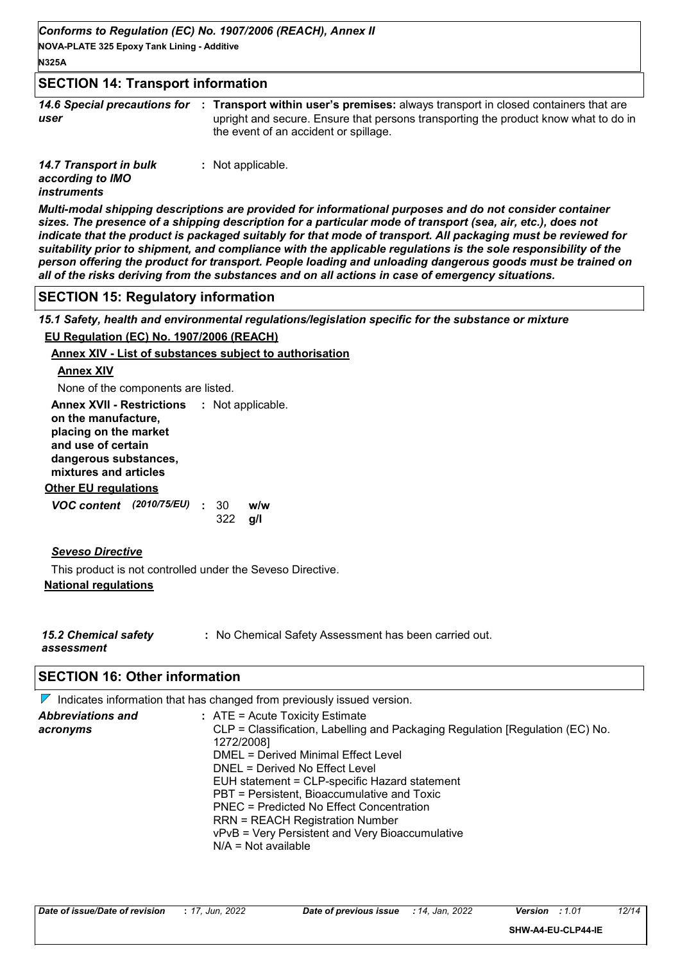## **SECTION 14: Transport information**

*14.6 Special precautions for user* **Transport within user's premises:** always transport in closed containers that are **:** upright and secure. Ensure that persons transporting the product know what to do in the event of an accident or spillage.

*14.7 Transport in bulk according to IMO instruments* **:** Not applicable.

*Multi-modal shipping descriptions are provided for informational purposes and do not consider container sizes. The presence of a shipping description for a particular mode of transport (sea, air, etc.), does not indicate that the product is packaged suitably for that mode of transport. All packaging must be reviewed for suitability prior to shipment, and compliance with the applicable regulations is the sole responsibility of the person offering the product for transport. People loading and unloading dangerous goods must be trained on all of the risks deriving from the substances and on all actions in case of emergency situations.*

#### **SECTION 15: Regulatory information**

*15.1 Safety, health and environmental regulations/legislation specific for the substance or mixture*

#### **EU Regulation (EC) No. 1907/2006 (REACH)**

#### **Annex XIV - List of substances subject to authorisation**

#### **Annex XIV**

None of the components are listed.

**Other EU regulations** *VOC content* **: w/w** *(2010/75/EU)* **g/l** w/w **Annex XVII - Restrictions :** Not applicable. **on the manufacture, placing on the market and use of certain dangerous substances, mixtures and articles**

## 322

*Seveso Directive*

**National regulations** This product is not controlled under the Seveso Directive.

*15.2 Chemical safety assessment*

**:** No Chemical Safety Assessment has been carried out.

## **SECTION 16: Other information**

|                          | $\triangledown$ Indicates information that has changed from previously issued version.      |
|--------------------------|---------------------------------------------------------------------------------------------|
| <b>Abbreviations and</b> | $:$ ATE = Acute Toxicity Estimate                                                           |
| acronyms                 | CLP = Classification, Labelling and Packaging Regulation [Regulation (EC) No.<br>1272/2008] |
|                          | DMEL = Derived Minimal Effect Level                                                         |
|                          | DNEL = Derived No Effect Level                                                              |
|                          | EUH statement = CLP-specific Hazard statement                                               |
|                          | PBT = Persistent, Bioaccumulative and Toxic                                                 |
|                          | PNEC = Predicted No Effect Concentration                                                    |
|                          | <b>RRN = REACH Registration Number</b>                                                      |
|                          | vPvB = Very Persistent and Very Bioaccumulative                                             |
|                          | $N/A = Not available$                                                                       |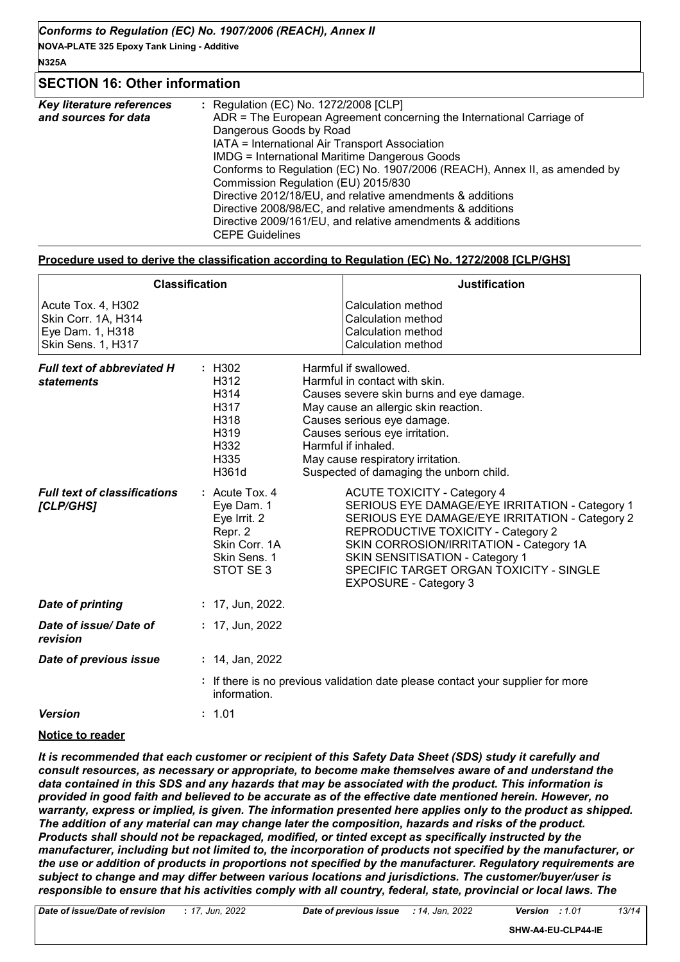#### **N325A**

# **SECTION 16: Other information**

| Key literature references | : Regulation (EC) No. 1272/2008 [CLP]                                      |
|---------------------------|----------------------------------------------------------------------------|
| and sources for data      | ADR = The European Agreement concerning the International Carriage of      |
|                           | Dangerous Goods by Road                                                    |
|                           | IATA = International Air Transport Association                             |
|                           | <b>IMDG</b> = International Maritime Dangerous Goods                       |
|                           | Conforms to Regulation (EC) No. 1907/2006 (REACH), Annex II, as amended by |
|                           | Commission Regulation (EU) 2015/830                                        |
|                           | Directive 2012/18/EU, and relative amendments & additions                  |
|                           | Directive 2008/98/EC, and relative amendments & additions                  |
|                           | Directive 2009/161/EU, and relative amendments & additions                 |
|                           | <b>CEPE Guidelines</b>                                                     |
|                           |                                                                            |

#### **Procedure used to derive the classification according to Regulation (EC) No. 1272/2008 [CLP/GHS]**

|                                                                                     | <b>Classification</b>                                                                                   | <b>Justification</b>                                                                                                                                                                                                                                                                                                                         |
|-------------------------------------------------------------------------------------|---------------------------------------------------------------------------------------------------------|----------------------------------------------------------------------------------------------------------------------------------------------------------------------------------------------------------------------------------------------------------------------------------------------------------------------------------------------|
| Acute Tox. 4, H302<br>Skin Corr. 1A, H314<br>Eye Dam. 1, H318<br>Skin Sens. 1, H317 |                                                                                                         | Calculation method<br><b>Calculation method</b><br>Calculation method<br><b>Calculation method</b>                                                                                                                                                                                                                                           |
| <b>Full text of abbreviated H</b><br><b>statements</b>                              | : H302<br>H312<br>H314<br>H317<br>H318<br>H319<br>H332<br>H335<br>H361d                                 | Harmful if swallowed.<br>Harmful in contact with skin.<br>Causes severe skin burns and eye damage.<br>May cause an allergic skin reaction.<br>Causes serious eye damage.<br>Causes serious eye irritation.<br>Harmful if inhaled.<br>May cause respiratory irritation.<br>Suspected of damaging the unborn child.                            |
| <b>Full text of classifications</b><br>[CLP/GHS]                                    | $:$ Acute Tox. 4<br>Eye Dam. 1<br>Eye Irrit. 2<br>Repr. 2<br>Skin Corr. 1A<br>Skin Sens. 1<br>STOT SE 3 | <b>ACUTE TOXICITY - Category 4</b><br>SERIOUS EYE DAMAGE/EYE IRRITATION - Category 1<br>SERIOUS EYE DAMAGE/EYE IRRITATION - Category 2<br>REPRODUCTIVE TOXICITY - Category 2<br>SKIN CORROSION/IRRITATION - Category 1A<br><b>SKIN SENSITISATION - Category 1</b><br>SPECIFIC TARGET ORGAN TOXICITY - SINGLE<br><b>EXPOSURE - Category 3</b> |
| <b>Date of printing</b>                                                             | $: 17,$ Jun, 2022.                                                                                      |                                                                                                                                                                                                                                                                                                                                              |
| Date of issue/Date of<br>revision                                                   | : $17$ , Jun, 2022                                                                                      |                                                                                                                                                                                                                                                                                                                                              |
| Date of previous issue                                                              | : 14, Jan, 2022                                                                                         |                                                                                                                                                                                                                                                                                                                                              |
|                                                                                     | information.                                                                                            | : If there is no previous validation date please contact your supplier for more                                                                                                                                                                                                                                                              |
| <b>Version</b>                                                                      | : 1.01                                                                                                  |                                                                                                                                                                                                                                                                                                                                              |

#### **Notice to reader**

*It is recommended that each customer or recipient of this Safety Data Sheet (SDS) study it carefully and consult resources, as necessary or appropriate, to become make themselves aware of and understand the data contained in this SDS and any hazards that may be associated with the product. This information is provided in good faith and believed to be accurate as of the effective date mentioned herein. However, no warranty, express or implied, is given. The information presented here applies only to the product as shipped. The addition of any material can may change later the composition, hazards and risks of the product. Products shall should not be repackaged, modified, or tinted except as specifically instructed by the manufacturer, including but not limited to, the incorporation of products not specified by the manufacturer, or the use or addition of products in proportions not specified by the manufacturer. Regulatory requirements are subject to change and may differ between various locations and jurisdictions. The customer/buyer/user is responsible to ensure that his activities comply with all country, federal, state, provincial or local laws. The* 

*Date of issue/Date of revision* **:** *17, Jun, 2022 Date of previous issue : 14, Jan, 2022 Version : 1.01 13/14*